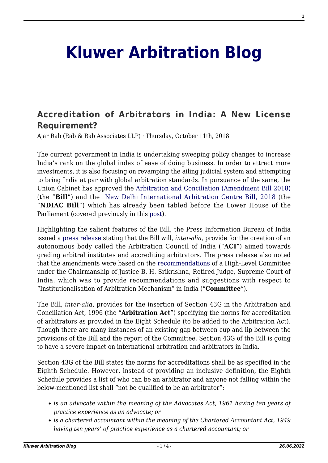## **[Kluwer Arbitration Blog](http://arbitrationblog.kluwerarbitration.com/)**

## **[Accreditation of Arbitrators in India: A New License](http://arbitrationblog.kluwerarbitration.com/2018/10/11/accreditation-of-arbitrators-in-india-a-new-license-requirement/) [Requirement?](http://arbitrationblog.kluwerarbitration.com/2018/10/11/accreditation-of-arbitrators-in-india-a-new-license-requirement/)**

Ajar Rab (Rab & Rab Associates LLP) · Thursday, October 11th, 2018

The current government in India is undertaking sweeping policy changes to increase India's rank on the global index of ease of doing business. In order to attract more investments, it is also focusing on revamping the ailing judicial system and attempting to bring India at par with global arbitration standards. In pursuance of the same, the Union Cabinet has approved the [Arbitration and Conciliation \(Amendment Bill 2018\)](http://www.arbitrationindia.org/pdf/acbill2018.pdf) (the "**Bill**") and the [New Delhi International Arbitration Centre Bill, 2018](http://www.prsindia.org/uploads/media/ND%20International%20Arbitration/ND%20International%20Arbitration%20Centre%20Bill,%202018.pdf) (the "**NDIAC Bill**") which has already been tabled before the Lower House of the Parliament (covered previously in this [post](http://arbitrationblog.kluwerarbitration.com/2018/05/04/new-delhi-international-arbitration-centre-building-india-global-arbitration-hub/)).

Highlighting the salient features of the Bill, the Press Information Bureau of India issued a [press release](http://pib.nic.in/newsite/PrintRelease.aspx?relid=177117) stating that the Bill will, *inter-alia,* provide for the creation of an autonomous body called the Arbitration Council of India ("**ACI**") aimed towards grading arbitral institutes and accrediting arbitrators. The press release also noted that the amendments were based on the [recommendations](http://legalaffairs.gov.in/sites/default/files/Report-HLC.pdf) of a High-Level Committee under the Chairmanship of Justice B. H. Srikrishna, Retired Judge, Supreme Court of India, which was to provide recommendations and suggestions with respect to "Institutionalisation of Arbitration Mechanism" in India ("**Committee**").

The Bill, *inter-alia,* provides for the insertion of Section 43G in the Arbitration and Conciliation Act, 1996 (the "**Arbitration Act**") specifying the norms for accreditation of arbitrators as provided in the Eight Schedule (to be added to the Arbitration Act). Though there are many instances of an existing gap between cup and lip between the provisions of the Bill and the report of the Committee, Section 43G of the Bill is going to have a severe impact on international arbitration and arbitrators in India.

Section 43G of the Bill states the norms for accreditations shall be as specified in the Eighth Schedule. However, instead of providing an inclusive definition, the Eighth Schedule provides a list of who can be an arbitrator and anyone not falling within the below-mentioned list shall "not be qualified to be an arbitrator":

- *is an advocate within the meaning of the Advocates Act, 1961 having ten years of practice experience as an advocate; or*
- *is a chartered accountant within the meaning of the Chartered Accountant Act, 1949 having ten years' of practice experience as a chartered accountant; or*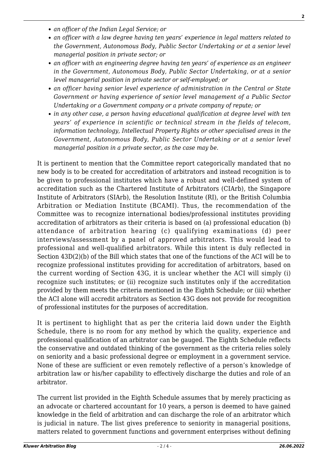- *an officer of the Indian Legal Service; or*
- *an officer with a law degree having ten years' experience in legal matters related to the Government, Autonomous Body, Public Sector Undertaking or at a senior level managerial position in private sector; or*
- *an officer with an engineering degree having ten years' of experience as an engineer in the Government, Autonomous Body, Public Sector Undertaking, or at a senior level managerial position in private sector or self-employed; or*
- *an officer having senior level experience of administration in the Central or State Government or having experience of senior level management of a Public Sector Undertaking or a Government company or a private company of repute; or*
- *in any other case, a person having educational qualification at degree level with ten years' of experience in scientific or technical stream in the fields of telecom, information technology, Intellectual Property Rights or other specialised areas in the Government, Autonomous Body, Public Sector Undertaking or at a senior level managerial position in a private sector, as the case may be.*

It is pertinent to mention that the Committee report categorically mandated that no new body is to be created for accreditation of arbitrators and instead recognition is to be given to professional institutes which have a robust and well-defined system of accreditation such as the Chartered Institute of Arbitrators (CIArb), the Singapore Institute of Arbitrators (SIArb), the Resolution Institute (RI), or the British Columbia Arbitration or Mediation Institute (BCAMI). Thus, the recommendation of the Committee was to recognize international bodies/professional institutes providing accreditation of arbitrators as their criteria is based on (a) professional education (b) attendance of arbitration hearing (c) qualifying examinations (d) peer interviews/assessment by a panel of approved arbitrators. This would lead to professional and well-qualified arbitrators. While this intent is duly reflected in Section 43D(2)(b) of the Bill which states that one of the functions of the ACI will be to recognize professional institutes providing for accreditation of arbitrators, based on the current wording of Section 43G, it is unclear whether the ACI will simply (i) recognize such institutes; or (ii) recognize such institutes only if the accreditation provided by them meets the criteria mentioned in the Eighth Schedule; or (iii) whether the ACI alone will accredit arbitrators as Section 43G does not provide for recognition of professional institutes for the purposes of accreditation.

It is pertinent to highlight that as per the criteria laid down under the Eighth Schedule, there is no room for any method by which the quality, experience and professional qualification of an arbitrator can be gauged. The Eighth Schedule reflects the conservative and outdated thinking of the government as the criteria relies solely on seniority and a basic professional degree or employment in a government service. None of these are sufficient or even remotely reflective of a person's knowledge of arbitration law or his/her capability to effectively discharge the duties and role of an arbitrator.

The current list provided in the Eighth Schedule assumes that by merely practicing as an advocate or chartered accountant for 10 years, a person is deemed to have gained knowledge in the field of arbitration and can discharge the role of an arbitrator which is judicial in nature. The list gives preference to seniority in managerial positions, matters related to government functions and government enterprises without defining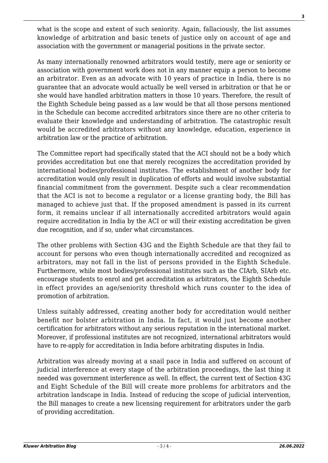what is the scope and extent of such seniority. Again, fallaciously, the list assumes knowledge of arbitration and basic tenets of justice only on account of age and association with the government or managerial positions in the private sector.

As many internationally renowned arbitrators would testify, mere age or seniority or association with government work does not in any manner equip a person to become an arbitrator. Even as an advocate with 10 years of practice in India, there is no guarantee that an advocate would actually be well versed in arbitration or that he or she would have handled arbitration matters in those 10 years. Therefore, the result of the Eighth Schedule being passed as a law would be that all those persons mentioned in the Schedule can become accredited arbitrators since there are no other criteria to evaluate their knowledge and understanding of arbitration. The catastrophic result would be accredited arbitrators without any knowledge, education, experience in arbitration law or the practice of arbitration.

The Committee report had specifically stated that the ACI should not be a body which provides accreditation but one that merely recognizes the accreditation provided by international bodies/professional institutes. The establishment of another body for accreditation would only result in duplication of efforts and would involve substantial financial commitment from the government. Despite such a clear recommendation that the ACI is not to become a regulator or a license granting body, the Bill has managed to achieve just that. If the proposed amendment is passed in its current form, it remains unclear if all internationally accredited arbitrators would again require accreditation in India by the ACI or will their existing accreditation be given due recognition, and if so, under what circumstances.

The other problems with Section 43G and the Eighth Schedule are that they fail to account for persons who even though internationally accredited and recognized as arbitrators, may not fall in the list of persons provided in the Eighth Schedule. Furthermore, while most bodies/professional institutes such as the CIArb, SIArb etc. encourage students to enrol and get accreditation as arbitrators, the Eighth Schedule in effect provides an age/seniority threshold which runs counter to the idea of promotion of arbitration.

Unless suitably addressed, creating another body for accreditation would neither benefit nor bolster arbitration in India. In fact, it would just become another certification for arbitrators without any serious reputation in the international market. Moreover, if professional institutes are not recognized, international arbitrators would have to re-apply for accreditation in India before arbitrating disputes in India.

Arbitration was already moving at a snail pace in India and suffered on account of judicial interference at every stage of the arbitration proceedings, the last thing it needed was government interference as well. In effect, the current text of Section 43G and Eight Schedule of the Bill will create more problems for arbitrators and the arbitration landscape in India. Instead of reducing the scope of judicial intervention, the Bill manages to create a new licensing requirement for arbitrators under the garb of providing accreditation.